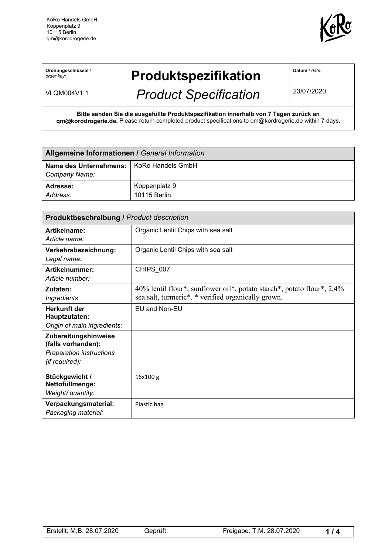

**Ordnungsschlüssel** / *order key:*

## **Produktspezifikation**

VLQM004V1.1

## *Product Specification*

**Datum** / *date:*

23/07/2020

**Bitte senden Sie die ausgefüllte Produktspezifikation innerhalb von 7 Tagen zurück an qm@korodrogerie.de.** Please return completed product specifications to qm@kordrogerie.de within 7 days.

| Allgemeine Informationen / General Information              |                               |  |
|-------------------------------------------------------------|-------------------------------|--|
| Name des Unternehmens:   KoRo Handels GmbH<br>Company Name: |                               |  |
| Adresse:<br>Address:                                        | Koppenplatz 9<br>10115 Berlin |  |

| <b>Produktbeschreibung / Product description</b>                                         |                                                                                                                              |  |
|------------------------------------------------------------------------------------------|------------------------------------------------------------------------------------------------------------------------------|--|
| Artikelname:<br>Article name:                                                            | Organic Lentil Chips with sea salt                                                                                           |  |
| Verkehrsbezeichnung:<br>Legal name:                                                      | Organic Lentil Chips with sea salt                                                                                           |  |
| Artikelnummer:<br>Article number:                                                        | CHIPS_007                                                                                                                    |  |
| Zutaten:<br><b>Ingredients</b>                                                           | 40% lentil flour*, sunflower oil*, potato starch*, potato flour*, 2,4%<br>sea salt, turmeric*. * verified organically grown. |  |
| Herkunft der<br>Hauptzutaten:<br>Origin of main ingredients:                             | EU and Non-EU                                                                                                                |  |
| Zubereitungshinweise<br>(falls vorhanden):<br>Preparation instructions<br>(if required): |                                                                                                                              |  |
| Stückgewicht /<br>Nettofüllmenge:<br>Weight/ quantity:                                   | 16x100 g                                                                                                                     |  |
| Verpackungsmaterial:<br>Packaging material:                                              | Plastic bag                                                                                                                  |  |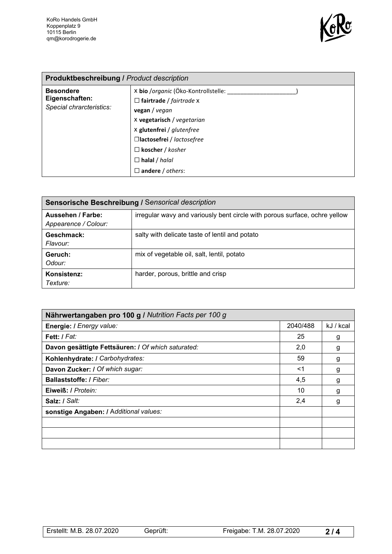

| <b>Produktbeschreibung / Product description</b>               |                                                                                                                                                                                                                                                                 |  |
|----------------------------------------------------------------|-----------------------------------------------------------------------------------------------------------------------------------------------------------------------------------------------------------------------------------------------------------------|--|
| <b>Besondere</b><br>Eigenschaften:<br>Special chrarcteristics: | x bio /organic (Öko-Kontrollstelle:<br>$\Box$ fairtrade / fairtrade $x$<br>vegan / vegan<br>X vegetarisch / vegetarian<br>X glutenfrei / glutenfree<br>□lactosefrei / lactosefree<br>$\Box$ koscher / kosher<br>$\Box$ halal / halal<br>$\Box$ andere / others: |  |

| Sensorische Beschreibung / Sensorical description |                                                                            |  |
|---------------------------------------------------|----------------------------------------------------------------------------|--|
| Aussehen / Farbe:<br>Appearence / Colour:         | irregular wavy and variously bent circle with porous surface, ochre yellow |  |
| Geschmack:<br>Flavour:                            | salty with delicate taste of lentil and potato                             |  |
| Geruch:<br>Odour:                                 | mix of vegetable oil, salt, lentil, potato                                 |  |
| Konsistenz:<br>Texture:                           | harder, porous, brittle and crisp                                          |  |

| Nährwertangaben pro 100 g / Nutrition Facts per 100 g |          |           |
|-------------------------------------------------------|----------|-----------|
| Energie: I Energy value:                              | 2040/488 | kJ / kcal |
| Fett: I Fat:                                          | 25       | g         |
| Davon gesättigte Fettsäuren: / Of which saturated:    | 2,0      | g         |
| Kohlenhydrate: I Carbohydrates:                       | 59       | g         |
| Davon Zucker: / Of which sugar:                       | <1       | g         |
| Ballaststoffe: / Fiber:                               | 4,5      | g         |
| Eiweiß: / Protein:                                    | 10       | g         |
| Salz: / Salt:                                         | 2,4      | g         |
| sonstige Angaben: / Additional values:                |          |           |
|                                                       |          |           |
|                                                       |          |           |
|                                                       |          |           |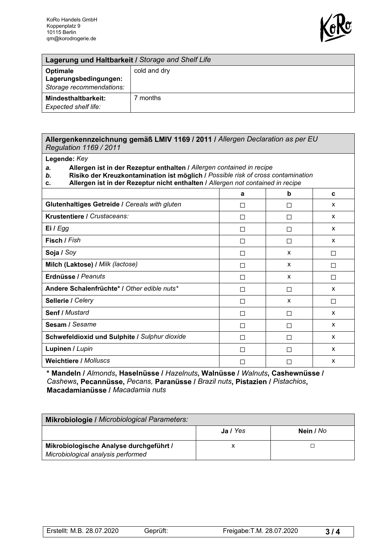

| Lagerung und Haltbarkeit / Storage and Shelf Life             |              |  |
|---------------------------------------------------------------|--------------|--|
| Optimale<br>Lagerungsbedingungen:<br>Storage recommendations: | cold and dry |  |
| Mindesthaltbarkeit:<br>Expected shelf life:                   | months       |  |

## **Allergenkennzeichnung gemäß LMIV 1169 / 2011 /** *Allergen Declaration as per EU Regulation 1169 / 2011*

## **Legende:** *Key*

*a.* **Allergen ist in der Rezeptur enthalten /** *Allergen contained in recipe*

*b.* **Risiko der Kreuzkontamination ist möglich /** *Possible risk of cross contamination*

**c. Allergen ist in der Rezeptur nicht enthalten /** *Allergen not contained in recipe*

|                                               | a  | b                        | c |
|-----------------------------------------------|----|--------------------------|---|
| Glutenhaltiges Getreide / Cereals with gluten | П  | $\mathsf{L}$             | X |
| Krustentiere / Crustaceans:                   | П  | $\mathsf{L}$             | X |
| Ei I Egg                                      | П  | П                        | X |
| Fisch / Fish                                  | П  | П                        | X |
| Soja / Soy                                    | П  | X                        | П |
| Milch (Laktose) / Milk (lactose)              | П  | X                        | П |
| Erdnüsse / Peanuts                            | П  | X                        | ш |
| Andere Schalenfrüchte* / Other edible nuts*   | П  | П                        | X |
| Sellerie / Celery                             | П  | X                        | П |
| Senf / Mustard                                | П  | П                        | X |
| Sesam / Sesame                                | ΙI | ΙI                       | X |
| Schwefeldioxid und Sulphite / Sulphur dioxide | П  | П                        | X |
| Lupinen / Lupin                               | П  | $\mathsf{L}$             | X |
| <b>Weichtiere / Molluscs</b>                  | П  | $\overline{\phantom{a}}$ | X |

**\* Mandeln /** *Almonds***, Haselnüsse /** *Hazelnuts***, Walnüsse /** *Walnuts***, Cashewnüsse /** *Cashews***, Pecannüsse,** *Pecans,* **Paranüsse /** *Brazil nuts***, Pistazien /** *Pistachios***, Macadamianüsse /** *Macadamia nuts*

| Mikrobiologie / Microbiological Parameters:                                   |          |           |  |
|-------------------------------------------------------------------------------|----------|-----------|--|
|                                                                               | Ja / Yes | Nein / No |  |
| Mikrobiologische Analyse durchgeführt /<br>Microbiological analysis performed |          |           |  |